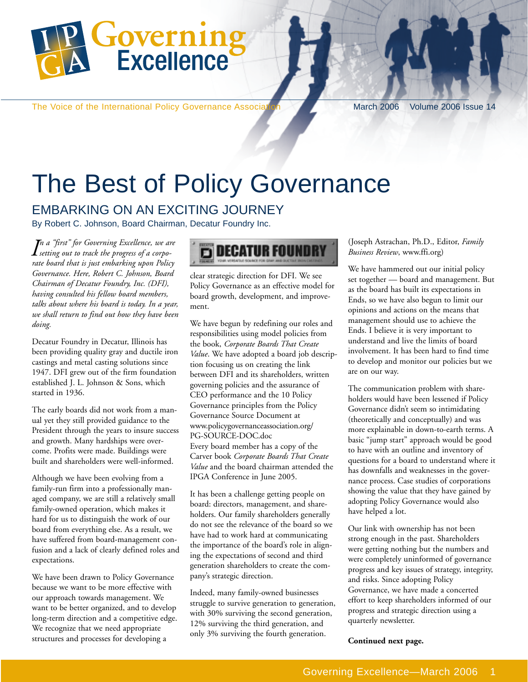

The Voice of the International Policy Governance Association March 2006 Volume 2006 Issue 14

# The Best of Policy Governance

### EMBARKING ON AN EXCITING JOURNEY

By Robert C. Johnson, Board Chairman, Decatur Foundry Inc.

*I setting out to track the progress of a corpon a "first" for Governing Excellence, we are rate board that is just embarking upon Policy Governance. Here, Robert C. Johnson, Board Chairman of Decatur Foundry, Inc. (DFI), having consulted his fellow board members, talks about where his board is today. In a year, we shall return to find out how they have been doing.*

Decatur Foundry in Decatur, Illinois has been providing quality gray and ductile iron castings and metal casting solutions since 1947. DFI grew out of the firm foundation established J. L. Johnson & Sons, which started in 1936.

The early boards did not work from a manual yet they still provided guidance to the President through the years to insure success and growth. Many hardships were overcome. Profits were made. Buildings were built and shareholders were well-informed.

Although we have been evolving from a family-run firm into a professionally managed company, we are still a relatively small family-owned operation, which makes it hard for us to distinguish the work of our board from everything else. As a result, we have suffered from board-management confusion and a lack of clearly defined roles and expectations.

We have been drawn to Policy Governance because we want to be more effective with our approach towards management. We want to be better organized, and to develop long-term direction and a competitive edge. We recognize that we need appropriate structures and processes for developing a



clear strategic direction for DFI. We see Policy Governance as an effective model for board growth, development, and improvement.

We have begun by redefining our roles and responsibilities using model policies from the book, *Corporate Boards That Create Value*. We have adopted a board job description focusing us on creating the link between DFI and its shareholders, written governing policies and the assurance of CEO performance and the 10 Policy Governance principles from the Policy Governance Source Document at www.policygovernanceassociation.org/ PG-SOURCE-DOC.doc Every board member has a copy of the Carver book *Corporate Boards That Create Value* and the board chairman attended the IPGA Conference in June 2005.

It has been a challenge getting people on board: directors, management, and shareholders. Our family shareholders generally do not see the relevance of the board so we have had to work hard at communicating the importance of the board's role in aligning the expectations of second and third generation shareholders to create the company's strategic direction.

Indeed, many family-owned businesses struggle to survive generation to generation, with 30% surviving the second generation, 12% surviving the third generation, and only 3% surviving the fourth generation.

(Joseph Astrachan, Ph.D., Editor, *Family Business Review*, www.ffi.org)

We have hammered out our initial policy set together — board and management. But as the board has built its expectations in Ends, so we have also begun to limit our opinions and actions on the means that management should use to achieve the Ends. I believe it is very important to understand and live the limits of board involvement. It has been hard to find time to develop and monitor our policies but we are on our way.

The communication problem with shareholders would have been lessened if Policy Governance didn't seem so intimidating (theoretically and conceptually) and was more explainable in down-to-earth terms. A basic "jump start" approach would be good to have with an outline and inventory of questions for a board to understand where it has downfalls and weaknesses in the governance process. Case studies of corporations showing the value that they have gained by adopting Policy Governance would also have helped a lot.

Our link with ownership has not been strong enough in the past. Shareholders were getting nothing but the numbers and were completely uninformed of governance progress and key issues of strategy, integrity, and risks. Since adopting Policy Governance, we have made a concerted effort to keep shareholders informed of our progress and strategic direction using a quarterly newsletter.

**Continued next page.**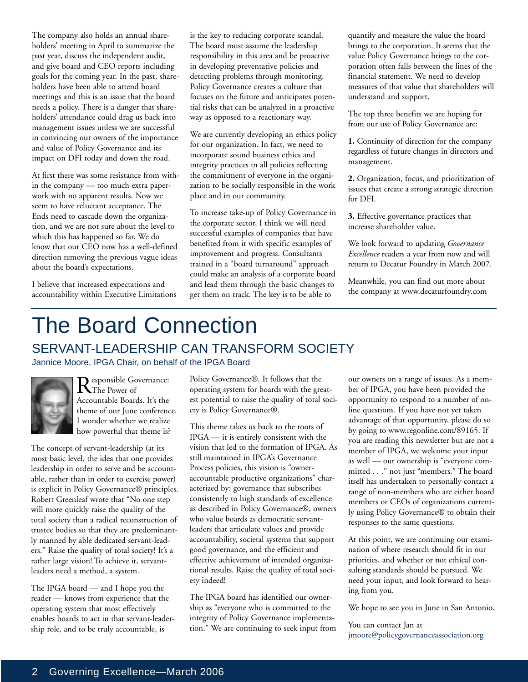The company also holds an annual shareholders' meeting in April to summarize the past year, discuss the independent audit, and give board and CEO reports including goals for the coming year. In the past, shareholders have been able to attend board meetings and this is an issue that the board needs a policy. There is a danger that shareholders' attendance could drag us back into management issues unless we are successful in convincing our owners of the importance and value of Policy Governance and its impact on DFI today and down the road.

At first there was some resistance from within the company — too much extra paperwork with no apparent results. Now we seem to have reluctant acceptance. The Ends need to cascade down the organization, and we are not sure about the level to which this has happened so far. We do know that our CEO now has a well-defined direction removing the previous vague ideas about the board's expectations.

I believe that increased expectations and accountability within Executive Limitations is the key to reducing corporate scandal. The board must assume the leadership responsibility in this area and be proactive in developing preventative policies and detecting problems through monitoring. Policy Governance creates a culture that focuses on the future and anticipates potential risks that can be analyzed in a proactive way as opposed to a reactionary way.

We are currently developing an ethics policy for our organization. In fact, we need to incorporate sound business ethics and integrity practices in all policies reflecting the commitment of everyone in the organization to be socially responsible in the work place and in our community.

To increase take-up of Policy Governance in the corporate sector, I think we will need successful examples of companies that have benefited from it with specific examples of improvement and progress. Consultants trained in a "board turnaround" approach could make an analysis of a corporate board and lead them through the basic changes to get them on track. The key is to be able to

quantify and measure the value the board brings to the corporation. It seems that the value Policy Governance brings to the corporation often falls between the lines of the financial statement. We need to develop measures of that value that shareholders will understand and support.

The top three benefits we are hoping for from our use of Policy Governance are:

**1.** Continuity of direction for the company regardless of future changes in directors and management.

**2.** Organization, focus, and prioritization of issues that create a strong strategic direction for DFI.

**3.** Effective governance practices that increase shareholder value.

We look forward to updating *Governance Excellence* readers a year from now and will return to Decatur Foundry in March 2007.

Meanwhile, you can find out more about the company at www.decaturfoundry.com

## The Board Connection SERVANT-LEADERSHIP CAN TRANSFORM SOCIETY

Jannice Moore, IPGA Chair, on behalf of the IPGA Board



Responsible Governance: Accountable Boards. It's the theme of our June conference. I wonder whether we realize how powerful that theme is?

The concept of servant-leadership (at its most basic level, the idea that one provides leadership in order to serve and be accountable, rather than in order to exercise power) is explicit in Policy Governance® principles. Robert Greenleaf wrote that "No one step will more quickly raise the quality of the total society than a radical reconstruction of trustee bodies so that they are predominantly manned by able dedicated servant-leaders." Raise the quality of total society! It's a rather large vision! To achieve it, servantleaders need a method, a system.

The IPGA board — and I hope you the reader — knows from experience that the operating system that most effectively enables boards to act in that servant-leadership role, and to be truly accountable, is

Policy Governance®. It follows that the operating system for boards with the greatest potential to raise the quality of total society is Policy Governance®.

This theme takes us back to the roots of IPGA — it is entirely consistent with the vision that led to the formation of IPGA. As still maintained in IPGA's Governance Process policies, this vision is "owneraccountable productive organizations" characterized by: governance that subscribes consistently to high standards of excellence as described in Policy Governance®, owners who value boards as democratic servantleaders that articulate values and provide accountability, societal systems that support good governance, and the efficient and effective achievement of intended organizational results. Raise the quality of total society indeed!

The IPGA board has identified our ownership as "everyone who is committed to the integrity of Policy Governance implementation." We are continuing to seek input from our owners on a range of issues. As a member of IPGA, you have been provided the opportunity to respond to a number of online questions. If you have not yet taken advantage of that opportunity, please do so by going to www.regonline.com/89165. If you are reading this newsletter but are not a member of IPGA, we welcome your input as well — our ownership is "everyone committed . . ." not just "members." The board itself has undertaken to personally contact a range of non-members who are either board members or CEOs of organizations currently using Policy Governance® to obtain their responses to the same questions.

At this point, we are continuing our examination of where research should fit in our priorities, and whether or not ethical consulting standards should be pursued. We need your input, and look forward to hearing from you.

We hope to see you in June in San Antonio.

You can contact Jan at jmoore@policygovernanceassociation.org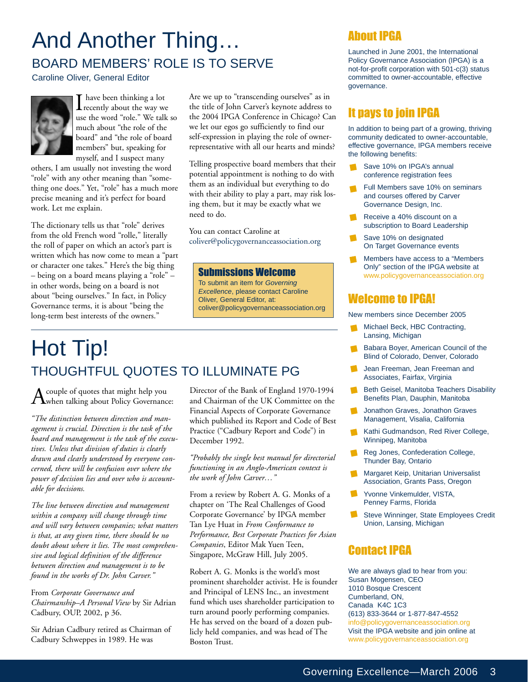## And Another Thing… BOARD MEMBERS' ROLE IS TO SERVE

Caroline Oliver, General Editor



 $\prod_{\text{recently about the way we} }$ use the word "role." We talk so much about "the role of the board" and "the role of board members" but, speaking for myself, and I suspect many

others, I am usually not investing the word "role" with any other meaning than "something one does." Yet, "role" has a much more precise meaning and it's perfect for board work. Let me explain.

The dictionary tells us that "role" derives from the old French word "rolle," literally the roll of paper on which an actor's part is written which has now come to mean a "part or character one takes." Here's the big thing – being on a board means playing a "role" – in other words, being on a board is not about "being ourselves." In fact, in Policy Governance terms, it is about "being the long-term best interests of the owners."

Are we up to "transcending ourselves" as in the title of John Carver's keynote address to the 2004 IPGA Conference in Chicago? Can we let our egos go sufficiently to find our self-expression in playing the role of ownerrepresentative with all our hearts and minds?

Telling prospective board members that their potential appointment is nothing to do with them as an individual but everything to do with their ability to play a part, may risk losing them, but it may be exactly what we need to do.

You can contact Caroline at coliver@policygovernanceassociation.org

#### Submissions Welcome

To submit an item for Governing Excellence, please contact Caroline Oliver, General Editor, at: coliver@policygovernanceassociation.org

### Hot Tip! THOUGHTFUL QUOTES TO ILLUMINATE PG

 $A$ couple of quotes that might help you<br>when talking about Policy Governance:

*"The distinction between direction and management is crucial. Direction is the task of the board and management is the task of the executives. Unless that division of duties is clearly drawn and clearly understood by everyone concerned, there will be confusion over where the power of decision lies and over who is accountable for decisions.*

*The line between direction and management within a company will change through time and will vary between companies; what matters is that, at any given time, there should be no doubt about where it lies. The most comprehensive and logical definition of the difference between direction and management is to be found in the works of Dr. John Carver."*

From *Corporate Governance and Chairmanship–A Personal View* by Sir Adrian Cadbury, OUP, 2002, p 36.

Sir Adrian Cadbury retired as Chairman of Cadbury Schweppes in 1989. He was

Director of the Bank of England 1970-1994 and Chairman of the UK Committee on the Financial Aspects of Corporate Governance which published its Report and Code of Best Practice ("Cadbury Report and Code") in December 1992.

*"Probably the single best manual for directorial functioning in an Anglo-American context is the work of John Carver…"*

From a review by Robert A. G. Monks of a chapter on 'The Real Challenges of Good Corporate Governance' by IPGA member Tan Lye Huat in *From Conformance to Performance, Best Corporate Practices for Asian Companies*, Editor Mak Yuen Teen, Singapore, McGraw Hill, July 2005.

Robert A. G. Monks is the world's most prominent shareholder activist. He is founder and Principal of LENS Inc., an investment fund which uses shareholder participation to turn around poorly performing companies. He has served on the board of a dozen publicly held companies, and was head of The Boston Trust.

### About IPGA

Launched in June 2001, the International Policy Governance Association (IPGA) is a not-for-profit corporation with 501-c(3) status committed to owner-accountable, effective governance.

### It pays to join IPGA

In addition to being part of a growing, thriving community dedicated to owner-accountable, effective governance, IPGA members receive the following benefits:

- Save 10% on IPGA's annual conference registration fees
- Full Members save 10% on seminars and courses offered by Carver Governance Design, Inc.
- Receive a 40% discount on a subscription to Board Leadership
- Save 10% on designated On Target Governance events
- Members have access to a "Members Only" section of the IPGA website at www.policygovernanceassociation.org

#### Welcome to IPGA!

New members since December 2005

- Michael Beck, HBC Contracting, Lansing, Michigan
- Babara Boyer, American Council of the Blind of Colorado, Denver, Colorado
- Jean Freeman, Jean Freeman and Associates, Fairfax, Virginia
- Beth Geisel, Manitoba Teachers Disability Benefits Plan, Dauphin, Manitoba
- Jonathon Graves, Jonathon Graves Management, Visalia, California
- Kathi Gudmandson, Red River College, Winnipeg, Manitoba
- Reg Jones, Confederation College, Thunder Bay, Ontario
- Margaret Keip, Unitarian Universalist Association, Grants Pass, Oregon
- Yvonne Vinkemulder, VISTA, Penney Farms, Florida
- $\blacksquare$ Steve Winninger, State Employees Credit Union, Lansing, Michigan

### Contact IPGA

We are always glad to hear from you: Susan Mogensen, CEO 1010 Bosque Crescent Cumberland, ON, Canada K4C 1C3 (613) 833-3644 or 1-877-847-4552 info@policygovernanceassociation.org Visit the IPGA website and join online at www.policygovernanceassociation.org